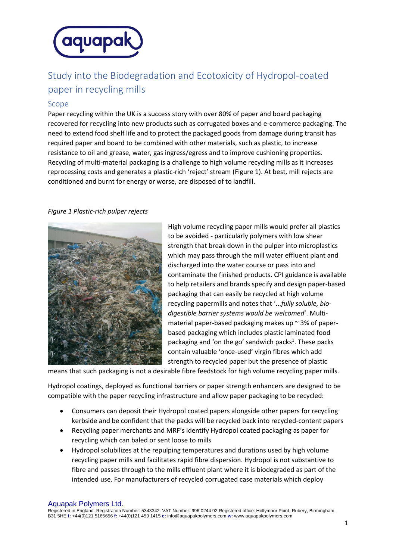

# Study into the Biodegradation and Ecotoxicity of Hydropol-coated paper in recycling mills

## Scope

Paper recycling within the UK is a success story with over 80% of paper and board packaging recovered for recycling into new products such as corrugated boxes and e-commerce packaging. The need to extend food shelf life and to protect the packaged goods from damage during transit has required paper and board to be combined with other materials, such as plastic, to increase resistance to oil and grease, water, gas ingress/egress and to improve cushioning properties. Recycling of multi-material packaging is a challenge to high volume recycling mills as it increases reprocessing costs and generates a plastic-rich 'reject' stream (Figure 1). At best, mill rejects are conditioned and burnt for energy or worse, are disposed of to landfill.

### *Figure 1 Plastic-rich pulper rejects*



High volume recycling paper mills would prefer all plastics to be avoided - particularly polymers with low shear strength that break down in the pulper into microplastics which may pass through the mill water effluent plant and discharged into the water course or pass into and contaminate the finished products. CPI guidance is available to help retailers and brands specify and design paper-based packaging that can easily be recycled at high volume recycling papermills and notes that '...*fully soluble, biodigestible barrier systems would be welcomed*'. Multimaterial paper-based packaging makes up  $\sim$  3% of paperbased packaging which includes plastic laminated food packaging and 'on the go' sandwich packs<sup>1</sup>. These packs contain valuable 'once-used' virgin fibres which add strength to recycled paper but the presence of plastic

means that such packaging is not a desirable fibre feedstock for high volume recycling paper mills.

Hydropol coatings, deployed as functional barriers or paper strength enhancers are designed to be compatible with the paper recycling infrastructure and allow paper packaging to be recycled:

- Consumers can deposit their Hydropol coated papers alongside other papers for recycling kerbside and be confident that the packs will be recycled back into recycled-content papers
- Recycling paper merchants and MRF's identify Hydropol coated packaging as paper for recycling which can baled or sent loose to mills
- Hydropol solubilizes at the repulping temperatures and durations used by high volume recycling paper mills and facilitates rapid fibre dispersion. Hydropol is not substantive to fibre and passes through to the mills effluent plant where it is biodegraded as part of the intended use. For manufacturers of recycled corrugated case materials which deploy

#### Aquapak Polymers Ltd.

Registered in England. Registration Number: 5343342. VAT Number: 996 0244 92 Registered office: Hollymoor Point, Rubery, Birmingham, B31 5HE **t:** +44(0)121 5165656 **f:** +44(0)121 459 1415 **e:** info@aquapakpolymers.com **w:** www.aquapakpolymers.com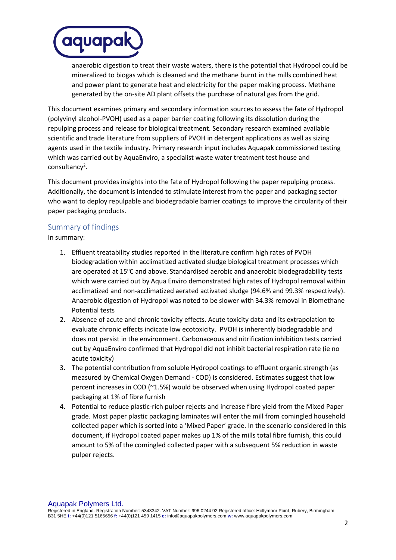

anaerobic digestion to treat their waste waters, there is the potential that Hydropol could be mineralized to biogas which is cleaned and the methane burnt in the mills combined heat and power plant to generate heat and electricity for the paper making process. Methane generated by the on-site AD plant offsets the purchase of natural gas from the grid.

This document examines primary and secondary information sources to assess the fate of Hydropol (polyvinyl alcohol-PVOH) used as a paper barrier coating following its dissolution during the repulping process and release for biological treatment. Secondary research examined available scientific and trade literature from suppliers of PVOH in detergent applications as well as sizing agents used in the textile industry. Primary research input includes Aquapak commissioned testing which was carried out by AquaEnviro, a specialist waste water treatment test house and consultancy<sup>2</sup>.

This document provides insights into the fate of Hydropol following the paper repulping process. Additionally, the document is intended to stimulate interest from the paper and packaging sector who want to deploy repulpable and biodegradable barrier coatings to improve the circularity of their paper packaging products.

## Summary of findings

In summary:

- 1. Effluent treatability studies reported in the literature confirm high rates of PVOH biodegradation within acclimatized activated sludge biological treatment processes which are operated at 15°C and above. Standardised aerobic and anaerobic biodegradability tests which were carried out by Aqua Enviro demonstrated high rates of Hydropol removal within acclimatized and non-acclimatized aerated activated sludge (94.6% and 99.3% respectively). Anaerobic digestion of Hydropol was noted to be slower with 34.3% removal in Biomethane Potential tests
- 2. Absence of acute and chronic toxicity effects. Acute toxicity data and its extrapolation to evaluate chronic effects indicate low ecotoxicity. PVOH is inherently biodegradable and does not persist in the environment. Carbonaceous and nitrification inhibition tests carried out by AquaEnviro confirmed that Hydropol did not inhibit bacterial respiration rate (ie no acute toxicity)
- 3. The potential contribution from soluble Hydropol coatings to effluent organic strength (as measured by Chemical Oxygen Demand - COD) is considered. Estimates suggest that low percent increases in COD (~1.5%) would be observed when using Hydropol coated paper packaging at 1% of fibre furnish
- 4. Potential to reduce plastic-rich pulper rejects and increase fibre yield from the Mixed Paper grade. Most paper plastic packaging laminates will enter the mill from comingled household collected paper which is sorted into a 'Mixed Paper' grade. In the scenario considered in this document, if Hydropol coated paper makes up 1% of the mills total fibre furnish, this could amount to 5% of the comingled collected paper with a subsequent 5% reduction in waste pulper rejects.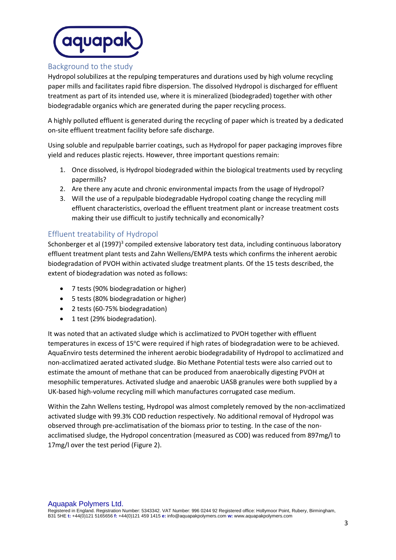

## Background to the study

Hydropol solubilizes at the repulping temperatures and durations used by high volume recycling paper mills and facilitates rapid fibre dispersion. The dissolved Hydropol is discharged for effluent treatment as part of its intended use, where it is mineralized (biodegraded) together with other biodegradable organics which are generated during the paper recycling process.

A highly polluted effluent is generated during the recycling of paper which is treated by a dedicated on-site effluent treatment facility before safe discharge.

Using soluble and repulpable barrier coatings, such as Hydropol for paper packaging improves fibre yield and reduces plastic rejects. However, three important questions remain:

- 1. Once dissolved, is Hydropol biodegraded within the biological treatments used by recycling papermills?
- 2. Are there any acute and chronic environmental impacts from the usage of Hydropol?
- 3. Will the use of a repulpable biodegradable Hydropol coating change the recycling mill effluent characteristics, overload the effluent treatment plant or increase treatment costs making their use difficult to justify technically and economically?

## Effluent treatability of Hydropol

Schonberger et al (1997)<sup>3</sup> compiled extensive laboratory test data, including continuous laboratory effluent treatment plant tests and Zahn Wellens/EMPA tests which confirms the inherent aerobic biodegradation of PVOH within activated sludge treatment plants. Of the 15 tests described, the extent of biodegradation was noted as follows:

- 7 tests (90% biodegradation or higher)
- 5 tests (80% biodegradation or higher)
- 2 tests (60-75% biodegradation)
- 1 test (29% biodegradation).

It was noted that an activated sludge which is acclimatized to PVOH together with effluent temperatures in excess of 15°C were required if high rates of biodegradation were to be achieved. AquaEnviro tests determined the inherent aerobic biodegradability of Hydropol to acclimatized and non-acclimatized aerated activated sludge. Bio Methane Potential tests were also carried out to estimate the amount of methane that can be produced from anaerobically digesting PVOH at mesophilic temperatures. Activated sludge and anaerobic UASB granules were both supplied by a UK-based high-volume recycling mill which manufactures corrugated case medium.

Within the Zahn Wellens testing, Hydropol was almost completely removed by the non-acclimatized activated sludge with 99.3% COD reduction respectively. No additional removal of Hydropol was observed through pre-acclimatisation of the biomass prior to testing. In the case of the nonacclimatised sludge, the Hydropol concentration (measured as COD) was reduced from 897mg/l to 17mg/l over the test period (Figure 2).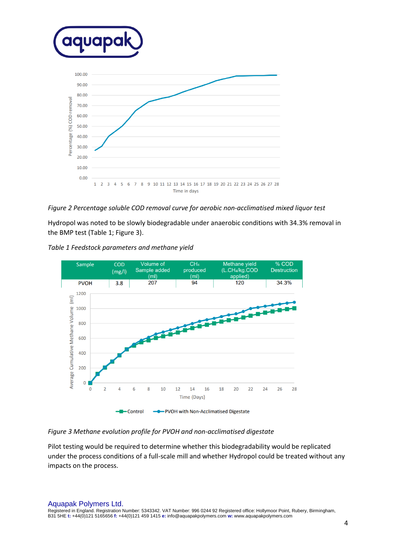

### *Figure 2 Percentage soluble COD removal curve for aerobic non-acclimatised mixed liquor test*

Hydropol was noted to be slowly biodegradable under anaerobic conditions with 34.3% removal in the BMP test (Table 1; Figure 3).





### *Figure 3 Methane evolution profile for PVOH and non-acclimatised digestate*

Pilot testing would be required to determine whether this biodegradability would be replicated under the process conditions of a full-scale mill and whether Hydropol could be treated without any impacts on the process.

Aquapak Polymers Ltd.

Registered in England. Registration Number: 5343342. VAT Number: 996 0244 92 Registered office: Hollymoor Point, Rubery, Birmingham, B31 5HE **t:** +44(0)121 5165656 **f:** +44(0)121 459 1415 **e:** info@aquapakpolymers.com **w:** www.aquapakpolymers.com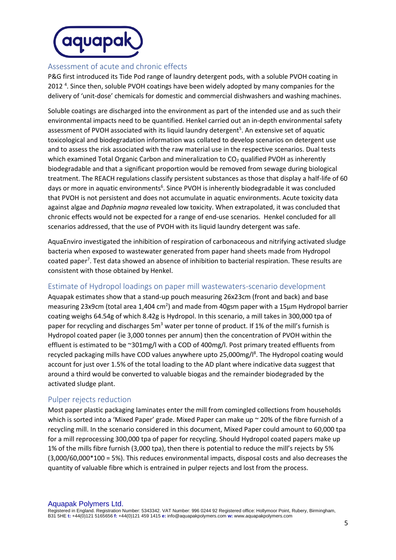

## Assessment of acute and chronic effects

P&G first introduced its Tide Pod range of laundry detergent pods, with a soluble PVOH coating in 2012<sup>4</sup>. Since then, soluble PVOH coatings have been widely adopted by many companies for the delivery of 'unit-dose' chemicals for domestic and commercial dishwashers and washing machines.

Soluble coatings are discharged into the environment as part of the intended use and as such their environmental impacts need to be quantified. Henkel carried out an in-depth environmental safety assessment of PVOH associated with its liquid laundry detergent<sup>5</sup>. An extensive set of aquatic toxicological and biodegradation information was collated to develop scenarios on detergent use and to assess the risk associated with the raw material use in the respective scenarios. Dual tests which examined Total Organic Carbon and mineralization to  $CO<sub>2</sub>$  qualified PVOH as inherently biodegradable and that a significant proportion would be removed from sewage during biological treatment. The REACH regulations classify persistent substances as those that display a half-life of 60 days or more in aquatic environments<sup>6</sup>. Since PVOH is inherently biodegradable it was concluded that PVOH is not persistent and does not accumulate in aquatic environments. Acute toxicity data against algae and *Daphnia magna* revealed low toxicity. When extrapolated, it was concluded that chronic effects would not be expected for a range of end-use scenarios. Henkel concluded for all scenarios addressed, that the use of PVOH with its liquid laundry detergent was safe.

AquaEnviro investigated the inhibition of respiration of carbonaceous and nitrifying activated sludge bacteria when exposed to wastewater generated from paper hand sheets made from Hydropol coated paper<sup>7</sup>. Test data showed an absence of inhibition to bacterial respiration. These results are consistent with those obtained by Henkel.

## Estimate of Hydropol loadings on paper mill wastewaters-scenario development

Aquapak estimates show that a stand-up pouch measuring 26x23cm (front and back) and base measuring 23x9cm (total area 1,404 cm<sup>2</sup>) and made from 40gsm paper with a 15 $\mu$ m Hydropol barrier coating weighs 64.54g of which 8.42g is Hydropol. In this scenario, a mill takes in 300,000 tpa of paper for recycling and discharges 5m<sup>3</sup> water per tonne of product. If 1% of the mill's furnish is Hydropol coated paper (ie 3,000 tonnes per annum) then the concentration of PVOH within the effluent is estimated to be ~301mg/l with a COD of 400mg/l. Post primary treated effluents from recycled packaging mills have COD values anywhere upto 25,000mg/l<sup>8</sup>. The Hydropol coating would account for just over 1.5% of the total loading to the AD plant where indicative data suggest that around a third would be converted to valuable biogas and the remainder biodegraded by the activated sludge plant.

## Pulper rejects reduction

Most paper plastic packaging laminates enter the mill from comingled collections from households which is sorted into a 'Mixed Paper' grade. Mixed Paper can make up ~ 20% of the fibre furnish of a recycling mill. In the scenario considered in this document, Mixed Paper could amount to 60,000 tpa for a mill reprocessing 300,000 tpa of paper for recycling. Should Hydropol coated papers make up 1% of the mills fibre furnish (3,000 tpa), then there is potential to reduce the mill's rejects by 5% (3,000/60,000\*100 = 5%). This reduces environmental impacts, disposal costs and also decreases the quantity of valuable fibre which is entrained in pulper rejects and lost from the process.

Aquapak Polymers Ltd. Registered in England. Registration Number: 5343342. VAT Number: 996 0244 92 Registered office: Hollymoor Point, Rubery, Birmingham, B31 5HE **t:** +44(0)121 5165656 **f:** +44(0)121 459 1415 **e:** info@aquapakpolymers.com **w:** www.aquapakpolymers.com